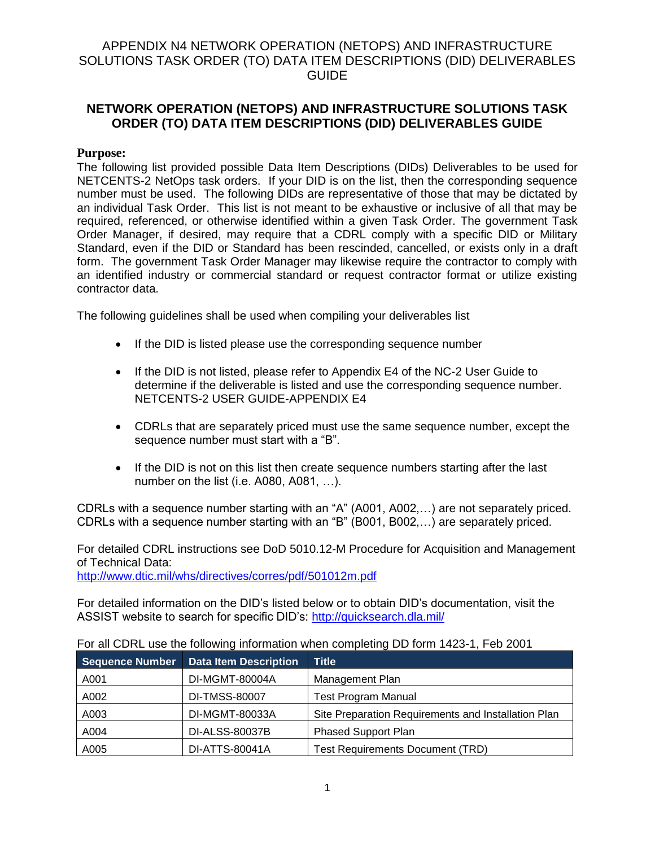# **NETWORK OPERATION (NETOPS) AND INFRASTRUCTURE SOLUTIONS TASK ORDER (TO) DATA ITEM DESCRIPTIONS (DID) DELIVERABLES GUIDE**

#### **Purpose:**

The following list provided possible Data Item Descriptions (DIDs) Deliverables to be used for NETCENTS-2 NetOps task orders. If your DID is on the list, then the corresponding sequence number must be used. The following DIDs are representative of those that may be dictated by an individual Task Order. This list is not meant to be exhaustive or inclusive of all that may be required, referenced, or otherwise identified within a given Task Order. The government Task Order Manager, if desired, may require that a CDRL comply with a specific DID or Military Standard, even if the DID or Standard has been rescinded, cancelled, or exists only in a draft form. The government Task Order Manager may likewise require the contractor to comply with an identified industry or commercial standard or request contractor format or utilize existing contractor data.

The following guidelines shall be used when compiling your deliverables list

- If the DID is listed please use the corresponding sequence number
- If the DID is not listed, please refer to Appendix E4 of the NC-2 User Guide to determine if the deliverable is listed and use the corresponding sequence number. NETCENTS-2 USER GUIDE-APPENDIX E4
- CDRLs that are separately priced must use the same sequence number, except the sequence number must start with a "B".
- If the DID is not on this list then create sequence numbers starting after the last number on the list (i.e. A080, A081, …).

CDRLs with a sequence number starting with an "A" (A001, A002,…) are not separately priced. CDRLs with a sequence number starting with an "B" (B001, B002,…) are separately priced.

For detailed CDRL instructions see DoD 5010.12-M Procedure for Acquisition and Management of Technical Data: <http://www.dtic.mil/whs/directives/corres/pdf/501012m.pdf>

For detailed information on the DID's listed below or to obtain DID's documentation, visit the ASSIST website to search for specific DID's:<http://quicksearch.dla.mil/>

| <b>Sequence Number</b> | <b>Data Item Description</b> | <b>Title</b>                                        |
|------------------------|------------------------------|-----------------------------------------------------|
| A001                   | DI-MGMT-80004A               | Management Plan                                     |
| A002                   | DI-TMSS-80007                | <b>Test Program Manual</b>                          |
| A003                   | DI-MGMT-80033A               | Site Preparation Requirements and Installation Plan |
| A004                   | DI-ALSS-80037B               | <b>Phased Support Plan</b>                          |
| A005                   | DI-ATTS-80041A               | <b>Test Requirements Document (TRD)</b>             |

For all CDRL use the following information when completing DD form 1423-1, Feb 2001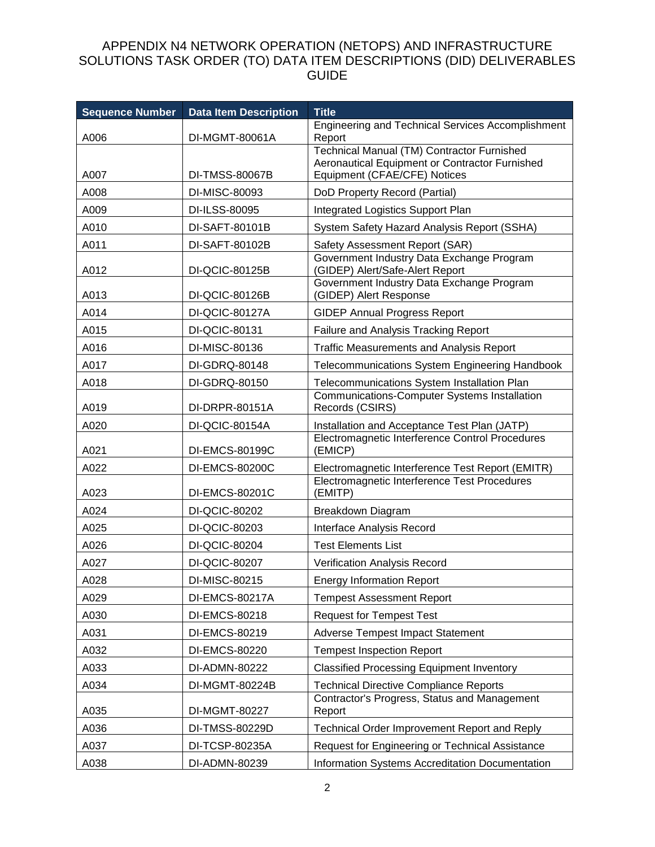| <b>Sequence Number</b> | <b>Data Item Description</b> | <b>Title</b>                                                                |
|------------------------|------------------------------|-----------------------------------------------------------------------------|
|                        |                              | <b>Engineering and Technical Services Accomplishment</b>                    |
| A006                   | DI-MGMT-80061A               | Report<br>Technical Manual (TM) Contractor Furnished                        |
|                        |                              | Aeronautical Equipment or Contractor Furnished                              |
| A007                   | DI-TMSS-80067B               | Equipment (CFAE/CFE) Notices                                                |
| A008                   | DI-MISC-80093                | DoD Property Record (Partial)                                               |
| A009                   | DI-ILSS-80095                | Integrated Logistics Support Plan                                           |
| A010                   | DI-SAFT-80101B               | System Safety Hazard Analysis Report (SSHA)                                 |
| A011                   | DI-SAFT-80102B               | Safety Assessment Report (SAR)<br>Government Industry Data Exchange Program |
| A012                   | DI-QCIC-80125B               | (GIDEP) Alert/Safe-Alert Report                                             |
| A013                   | DI-QCIC-80126B               | Government Industry Data Exchange Program<br>(GIDEP) Alert Response         |
| A014                   | DI-QCIC-80127A               | <b>GIDEP Annual Progress Report</b>                                         |
| A015                   | DI-QCIC-80131                | Failure and Analysis Tracking Report                                        |
| A016                   | DI-MISC-80136                | <b>Traffic Measurements and Analysis Report</b>                             |
| A017                   | DI-GDRQ-80148                | <b>Telecommunications System Engineering Handbook</b>                       |
| A018                   | DI-GDRQ-80150                | Telecommunications System Installation Plan                                 |
| A019                   | DI-DRPR-80151A               | <b>Communications-Computer Systems Installation</b><br>Records (CSIRS)      |
| A020                   | DI-QCIC-80154A               | Installation and Acceptance Test Plan (JATP)                                |
| A021                   | DI-EMCS-80199C               | Electromagnetic Interference Control Procedures<br>(EMICP)                  |
| A022                   | DI-EMCS-80200C               | Electromagnetic Interference Test Report (EMITR)                            |
| A023                   | DI-EMCS-80201C               | Electromagnetic Interference Test Procedures<br>(EMITP)                     |
| A024                   | DI-QCIC-80202                | Breakdown Diagram                                                           |
| A025                   | DI-QCIC-80203                | Interface Analysis Record                                                   |
| A026                   | DI-QCIC-80204                | <b>Test Elements List</b>                                                   |
| A027                   | DI-QCIC-80207                | Verification Analysis Record                                                |
| A028                   | DI-MISC-80215                | <b>Energy Information Report</b>                                            |
| A029                   | DI-EMCS-80217A               | <b>Tempest Assessment Report</b>                                            |
| A030                   | DI-EMCS-80218                | <b>Request for Tempest Test</b>                                             |
| A031                   | DI-EMCS-80219                | Adverse Tempest Impact Statement                                            |
| A032                   | DI-EMCS-80220                | <b>Tempest Inspection Report</b>                                            |
| A033                   | DI-ADMN-80222                | <b>Classified Processing Equipment Inventory</b>                            |
| A034                   | DI-MGMT-80224B               | <b>Technical Directive Compliance Reports</b>                               |
| A035                   | DI-MGMT-80227                | Contractor's Progress, Status and Management<br>Report                      |
| A036                   | DI-TMSS-80229D               | Technical Order Improvement Report and Reply                                |
| A037                   | DI-TCSP-80235A               | Request for Engineering or Technical Assistance                             |
| A038                   | DI-ADMN-80239                | Information Systems Accreditation Documentation                             |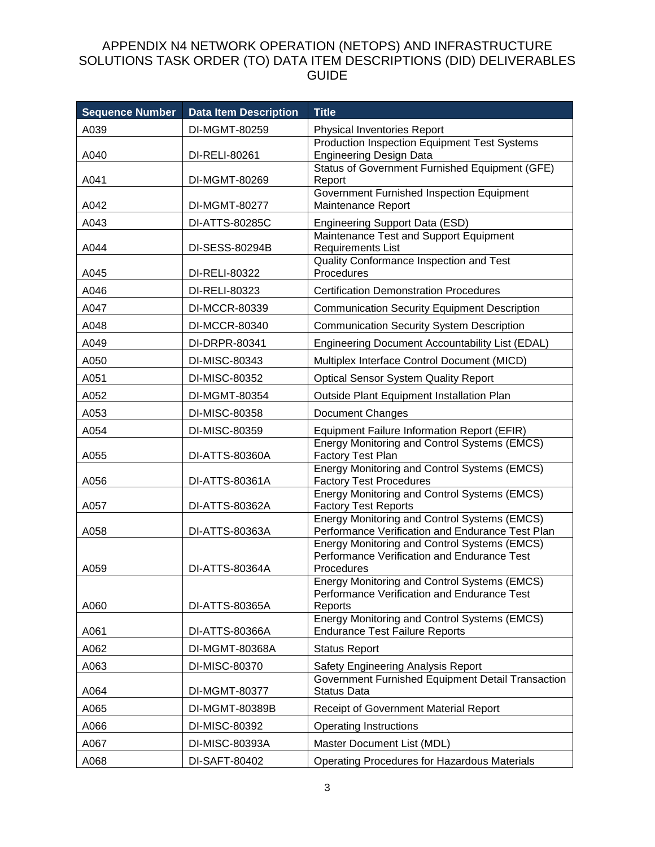| <b>Sequence Number</b> | <b>Data Item Description</b> | <b>Title</b>                                                                                                  |
|------------------------|------------------------------|---------------------------------------------------------------------------------------------------------------|
| A039                   | DI-MGMT-80259                | Physical Inventories Report                                                                                   |
| A040                   | DI-RELI-80261                | Production Inspection Equipment Test Systems<br><b>Engineering Design Data</b>                                |
| A041                   | DI-MGMT-80269                | Status of Government Furnished Equipment (GFE)<br>Report                                                      |
| A042                   | DI-MGMT-80277                | Government Furnished Inspection Equipment<br>Maintenance Report                                               |
| A043                   | DI-ATTS-80285C               | Engineering Support Data (ESD)                                                                                |
| A044                   | DI-SESS-80294B               | Maintenance Test and Support Equipment<br><b>Requirements List</b>                                            |
| A045                   | DI-RELI-80322                | Quality Conformance Inspection and Test<br>Procedures                                                         |
| A046                   | DI-RELI-80323                | <b>Certification Demonstration Procedures</b>                                                                 |
| A047                   | DI-MCCR-80339                | <b>Communication Security Equipment Description</b>                                                           |
| A048                   | DI-MCCR-80340                | <b>Communication Security System Description</b>                                                              |
| A049                   | DI-DRPR-80341                | Engineering Document Accountability List (EDAL)                                                               |
| A050                   | DI-MISC-80343                | Multiplex Interface Control Document (MICD)                                                                   |
| A051                   | DI-MISC-80352                | <b>Optical Sensor System Quality Report</b>                                                                   |
| A052                   | DI-MGMT-80354                | Outside Plant Equipment Installation Plan                                                                     |
| A053                   | DI-MISC-80358                | <b>Document Changes</b>                                                                                       |
| A054                   | DI-MISC-80359                | Equipment Failure Information Report (EFIR)                                                                   |
| A055                   | DI-ATTS-80360A               | Energy Monitoring and Control Systems (EMCS)<br>Factory Test Plan                                             |
| A056                   | DI-ATTS-80361A               | <b>Energy Monitoring and Control Systems (EMCS)</b><br><b>Factory Test Procedures</b>                         |
| A057                   | DI-ATTS-80362A               | Energy Monitoring and Control Systems (EMCS)<br><b>Factory Test Reports</b>                                   |
| A058                   | DI-ATTS-80363A               | <b>Energy Monitoring and Control Systems (EMCS)</b><br>Performance Verification and Endurance Test Plan       |
| A059                   | DI-ATTS-80364A               | Energy Monitoring and Control Systems (EMCS)<br>Performance Verification and Endurance Test<br>Procedures     |
| A060                   | DI-ATTS-80365A               | <b>Energy Monitoring and Control Systems (EMCS)</b><br>Performance Verification and Endurance Test<br>Reports |
| A061                   | DI-ATTS-80366A               | Energy Monitoring and Control Systems (EMCS)<br><b>Endurance Test Failure Reports</b>                         |
| A062                   | DI-MGMT-80368A               | <b>Status Report</b>                                                                                          |
| A063                   | DI-MISC-80370                | Safety Engineering Analysis Report                                                                            |
| A064                   | DI-MGMT-80377                | Government Furnished Equipment Detail Transaction<br><b>Status Data</b>                                       |
| A065                   | DI-MGMT-80389B               | Receipt of Government Material Report                                                                         |
| A066                   | DI-MISC-80392                | <b>Operating Instructions</b>                                                                                 |
| A067                   | DI-MISC-80393A               | Master Document List (MDL)                                                                                    |
| A068                   | DI-SAFT-80402                | <b>Operating Procedures for Hazardous Materials</b>                                                           |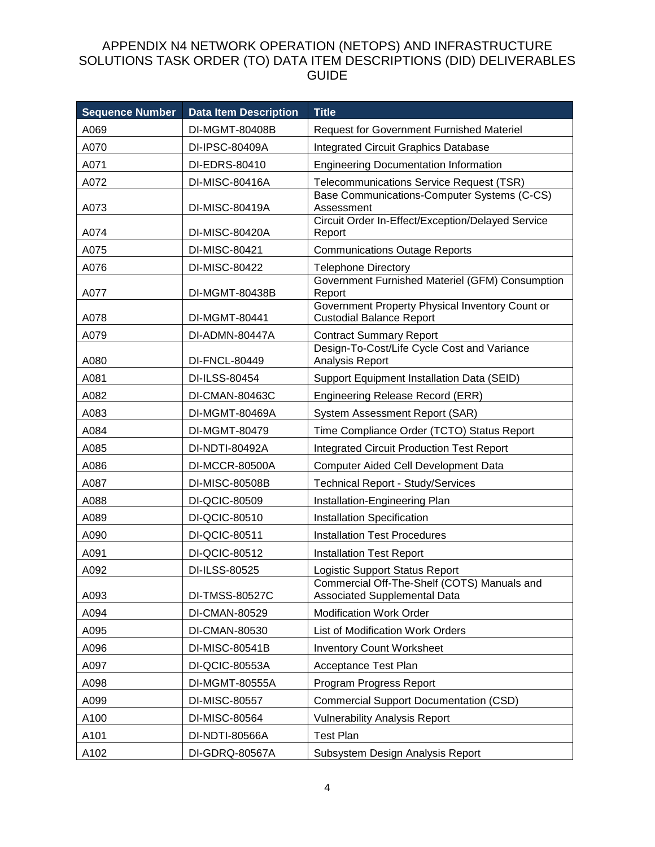| <b>Sequence Number</b> | <b>Data Item Description</b> | <b>Title</b>                                                                       |
|------------------------|------------------------------|------------------------------------------------------------------------------------|
| A069                   | DI-MGMT-80408B               | <b>Request for Government Furnished Materiel</b>                                   |
| A070                   | DI-IPSC-80409A               | <b>Integrated Circuit Graphics Database</b>                                        |
| A071                   | DI-EDRS-80410                | <b>Engineering Documentation Information</b>                                       |
| A072                   | DI-MISC-80416A               | Telecommunications Service Request (TSR)                                           |
| A073                   | DI-MISC-80419A               | Base Communications-Computer Systems (C-CS)<br>Assessment                          |
| A074                   | DI-MISC-80420A               | Circuit Order In-Effect/Exception/Delayed Service<br>Report                        |
| A075                   | DI-MISC-80421                | <b>Communications Outage Reports</b>                                               |
| A076                   | DI-MISC-80422                | <b>Telephone Directory</b>                                                         |
| A077                   | DI-MGMT-80438B               | Government Furnished Materiel (GFM) Consumption<br>Report                          |
| A078                   | DI-MGMT-80441                | Government Property Physical Inventory Count or<br><b>Custodial Balance Report</b> |
| A079                   | DI-ADMN-80447A               | <b>Contract Summary Report</b>                                                     |
| A080                   | DI-FNCL-80449                | Design-To-Cost/Life Cycle Cost and Variance<br>Analysis Report                     |
| A081                   | DI-ILSS-80454                | Support Equipment Installation Data (SEID)                                         |
| A082                   | DI-CMAN-80463C               | <b>Engineering Release Record (ERR)</b>                                            |
| A083                   | DI-MGMT-80469A               | System Assessment Report (SAR)                                                     |
| A084                   | DI-MGMT-80479                | Time Compliance Order (TCTO) Status Report                                         |
| A085                   | DI-NDTI-80492A               | <b>Integrated Circuit Production Test Report</b>                                   |
| A086                   | <b>DI-MCCR-80500A</b>        | <b>Computer Aided Cell Development Data</b>                                        |
| A087                   | DI-MISC-80508B               | <b>Technical Report - Study/Services</b>                                           |
| A088                   | DI-QCIC-80509                | Installation-Engineering Plan                                                      |
| A089                   | DI-QCIC-80510                | Installation Specification                                                         |
| A090                   | DI-QCIC-80511                | <b>Installation Test Procedures</b>                                                |
| A091                   | DI-QCIC-80512                | <b>Installation Test Report</b>                                                    |
| A092                   | DI-ILSS-80525                | Logistic Support Status Report                                                     |
| A093                   | DI-TMSS-80527C               | Commercial Off-The-Shelf (COTS) Manuals and<br>Associated Supplemental Data        |
| A094                   | DI-CMAN-80529                | <b>Modification Work Order</b>                                                     |
| A095                   | DI-CMAN-80530                | List of Modification Work Orders                                                   |
| A096                   | DI-MISC-80541B               | <b>Inventory Count Worksheet</b>                                                   |
| A097                   | DI-QCIC-80553A               | <b>Acceptance Test Plan</b>                                                        |
| A098                   | DI-MGMT-80555A               | Program Progress Report                                                            |
| A099                   | DI-MISC-80557                | <b>Commercial Support Documentation (CSD)</b>                                      |
| A100                   | DI-MISC-80564                | <b>Vulnerability Analysis Report</b>                                               |
| A101                   | DI-NDTI-80566A               | <b>Test Plan</b>                                                                   |
| A102                   | DI-GDRQ-80567A               | Subsystem Design Analysis Report                                                   |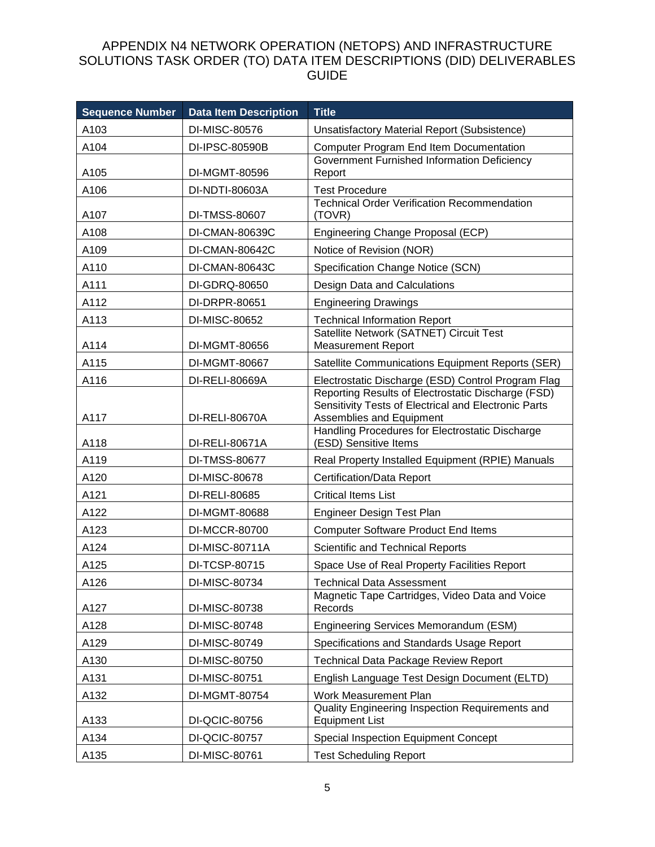| <b>Sequence Number</b> | <b>Data Item Description</b> | <b>Title</b>                                                                                                                           |
|------------------------|------------------------------|----------------------------------------------------------------------------------------------------------------------------------------|
| A103                   | DI-MISC-80576                | Unsatisfactory Material Report (Subsistence)                                                                                           |
| A104                   | DI-IPSC-80590B               | <b>Computer Program End Item Documentation</b>                                                                                         |
| A105                   | DI-MGMT-80596                | Government Furnished Information Deficiency<br>Report                                                                                  |
| A106                   | DI-NDTI-80603A               | <b>Test Procedure</b>                                                                                                                  |
| A107                   | DI-TMSS-80607                | <b>Technical Order Verification Recommendation</b><br>(TOVR)                                                                           |
| A108                   | DI-CMAN-80639C               | Engineering Change Proposal (ECP)                                                                                                      |
| A109                   | DI-CMAN-80642C               | Notice of Revision (NOR)                                                                                                               |
| A110                   | DI-CMAN-80643C               | Specification Change Notice (SCN)                                                                                                      |
| A111                   | DI-GDRQ-80650                | Design Data and Calculations                                                                                                           |
| A112                   | DI-DRPR-80651                | <b>Engineering Drawings</b>                                                                                                            |
| A113                   | DI-MISC-80652                | <b>Technical Information Report</b>                                                                                                    |
| A114                   | DI-MGMT-80656                | Satellite Network (SATNET) Circuit Test<br><b>Measurement Report</b>                                                                   |
| A115                   | DI-MGMT-80667                | Satellite Communications Equipment Reports (SER)                                                                                       |
| A116                   | DI-RELI-80669A               | Electrostatic Discharge (ESD) Control Program Flag                                                                                     |
| A117                   | DI-RELI-80670A               | Reporting Results of Electrostatic Discharge (FSD)<br>Sensitivity Tests of Electrical and Electronic Parts<br>Assemblies and Equipment |
| A118                   | DI-RELI-80671A               | Handling Procedures for Electrostatic Discharge<br>(ESD) Sensitive Items                                                               |
| A119                   | DI-TMSS-80677                | Real Property Installed Equipment (RPIE) Manuals                                                                                       |
| A120                   | DI-MISC-80678                | Certification/Data Report                                                                                                              |
| A121                   | DI-RELI-80685                | <b>Critical Items List</b>                                                                                                             |
| A122                   | DI-MGMT-80688                | Engineer Design Test Plan                                                                                                              |
| A123                   | DI-MCCR-80700                | <b>Computer Software Product End Items</b>                                                                                             |
| A124                   | DI-MISC-80711A               | Scientific and Technical Reports                                                                                                       |
| A125                   | DI-TCSP-80715                | Space Use of Real Property Facilities Report                                                                                           |
| A126                   | DI-MISC-80734                | <b>Technical Data Assessment</b>                                                                                                       |
| A127                   | DI-MISC-80738                | Magnetic Tape Cartridges, Video Data and Voice<br>Records                                                                              |
| A128                   | DI-MISC-80748                | Engineering Services Memorandum (ESM)                                                                                                  |
| A129                   | DI-MISC-80749                | Specifications and Standards Usage Report                                                                                              |
| A130                   | DI-MISC-80750                | <b>Technical Data Package Review Report</b>                                                                                            |
| A131                   | DI-MISC-80751                | English Language Test Design Document (ELTD)                                                                                           |
| A132                   | DI-MGMT-80754                | Work Measurement Plan                                                                                                                  |
| A133                   | DI-QCIC-80756                | Quality Engineering Inspection Requirements and<br><b>Equipment List</b>                                                               |
| A134                   | DI-QCIC-80757                | Special Inspection Equipment Concept                                                                                                   |
| A135                   | DI-MISC-80761                | <b>Test Scheduling Report</b>                                                                                                          |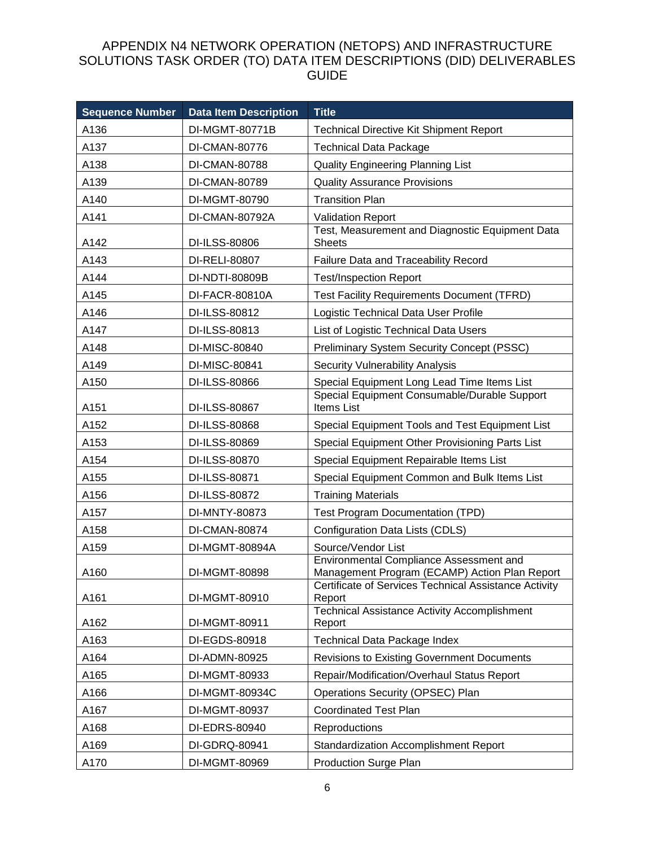| <b>Sequence Number</b> | <b>Data Item Description</b> | <b>Title</b>                                                                             |
|------------------------|------------------------------|------------------------------------------------------------------------------------------|
| A136                   | DI-MGMT-80771B               | <b>Technical Directive Kit Shipment Report</b>                                           |
| A137                   | DI-CMAN-80776                | <b>Technical Data Package</b>                                                            |
| A138                   | DI-CMAN-80788                | <b>Quality Engineering Planning List</b>                                                 |
| A139                   | DI-CMAN-80789                | <b>Quality Assurance Provisions</b>                                                      |
| A140                   | DI-MGMT-80790                | <b>Transition Plan</b>                                                                   |
| A141                   | DI-CMAN-80792A               | <b>Validation Report</b>                                                                 |
| A142                   | DI-ILSS-80806                | Test, Measurement and Diagnostic Equipment Data<br><b>Sheets</b>                         |
| A143                   | DI-RELI-80807                | Failure Data and Traceability Record                                                     |
| A144                   | DI-NDTI-80809B               | <b>Test/Inspection Report</b>                                                            |
| A145                   | DI-FACR-80810A               | <b>Test Facility Requirements Document (TFRD)</b>                                        |
| A146                   | DI-ILSS-80812                | Logistic Technical Data User Profile                                                     |
| A147                   | DI-ILSS-80813                | List of Logistic Technical Data Users                                                    |
| A148                   | DI-MISC-80840                | <b>Preliminary System Security Concept (PSSC)</b>                                        |
| A149                   | DI-MISC-80841                | <b>Security Vulnerability Analysis</b>                                                   |
| A150                   | DI-ILSS-80866                | Special Equipment Long Lead Time Items List                                              |
| A151                   | DI-ILSS-80867                | Special Equipment Consumable/Durable Support<br><b>Items List</b>                        |
| A152                   | DI-ILSS-80868                | Special Equipment Tools and Test Equipment List                                          |
| A153                   | DI-ILSS-80869                | Special Equipment Other Provisioning Parts List                                          |
| A154                   | DI-ILSS-80870                | Special Equipment Repairable Items List                                                  |
| A155                   | DI-ILSS-80871                | Special Equipment Common and Bulk Items List                                             |
| A156                   | DI-ILSS-80872                | <b>Training Materials</b>                                                                |
| A157                   | DI-MNTY-80873                | <b>Test Program Documentation (TPD)</b>                                                  |
| A158                   | DI-CMAN-80874                | Configuration Data Lists (CDLS)                                                          |
| A159                   | DI-MGMT-80894A               | Source/Vendor List                                                                       |
| A160                   | DI-MGMT-80898                | Environmental Compliance Assessment and<br>Management Program (ECAMP) Action Plan Report |
| A161                   | DI-MGMT-80910                | Certificate of Services Technical Assistance Activity<br>Report                          |
| A162                   | DI-MGMT-80911                | <b>Technical Assistance Activity Accomplishment</b><br>Report                            |
| A163                   | DI-EGDS-80918                | <b>Technical Data Package Index</b>                                                      |
| A164                   | DI-ADMN-80925                | <b>Revisions to Existing Government Documents</b>                                        |
| A165                   | DI-MGMT-80933                | Repair/Modification/Overhaul Status Report                                               |
| A166                   | DI-MGMT-80934C               | Operations Security (OPSEC) Plan                                                         |
| A167                   | DI-MGMT-80937                | <b>Coordinated Test Plan</b>                                                             |
| A168                   | DI-EDRS-80940                | Reproductions                                                                            |
| A169                   | DI-GDRQ-80941                | <b>Standardization Accomplishment Report</b>                                             |
| A170                   | DI-MGMT-80969                | <b>Production Surge Plan</b>                                                             |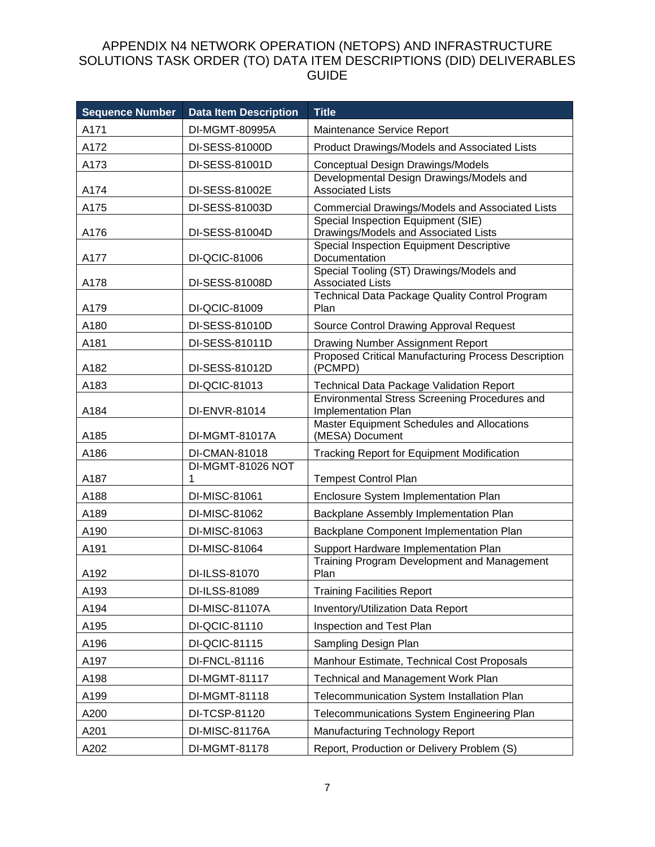| <b>Sequence Number</b> | <b>Data Item Description</b> | <b>Title</b>                                                               |
|------------------------|------------------------------|----------------------------------------------------------------------------|
| A171                   | DI-MGMT-80995A               | Maintenance Service Report                                                 |
| A172                   | DI-SESS-81000D               | Product Drawings/Models and Associated Lists                               |
| A173                   | DI-SESS-81001D               | Conceptual Design Drawings/Models                                          |
| A174                   | DI-SESS-81002E               | Developmental Design Drawings/Models and<br><b>Associated Lists</b>        |
| A175                   | DI-SESS-81003D               | <b>Commercial Drawings/Models and Associated Lists</b>                     |
| A176                   | DI-SESS-81004D               | Special Inspection Equipment (SIE)<br>Drawings/Models and Associated Lists |
| A177                   | DI-QCIC-81006                | Special Inspection Equipment Descriptive<br>Documentation                  |
| A178                   | DI-SESS-81008D               | Special Tooling (ST) Drawings/Models and<br><b>Associated Lists</b>        |
| A179                   | DI-QCIC-81009                | Technical Data Package Quality Control Program<br>Plan                     |
| A180                   | DI-SESS-81010D               | Source Control Drawing Approval Request                                    |
| A181                   | DI-SESS-81011D               | Drawing Number Assignment Report                                           |
| A182                   | DI-SESS-81012D               | Proposed Critical Manufacturing Process Description<br>(PCMPD)             |
| A183                   | DI-QCIC-81013                | <b>Technical Data Package Validation Report</b>                            |
| A184                   | DI-ENVR-81014                | Environmental Stress Screening Procedures and<br>Implementation Plan       |
| A185                   | DI-MGMT-81017A               | Master Equipment Schedules and Allocations<br>(MESA) Document              |
| A186                   | DI-CMAN-81018                | <b>Tracking Report for Equipment Modification</b>                          |
| A187                   | DI-MGMT-81026 NOT<br>1       | <b>Tempest Control Plan</b>                                                |
| A188                   | DI-MISC-81061                | Enclosure System Implementation Plan                                       |
| A189                   | DI-MISC-81062                | Backplane Assembly Implementation Plan                                     |
| A190                   | DI-MISC-81063                | Backplane Component Implementation Plan                                    |
| A191                   | DI-MISC-81064                | Support Hardware Implementation Plan                                       |
| A192                   | DI-ILSS-81070                | Training Program Development and Management<br>Plan                        |
| A193                   | DI-ILSS-81089                | <b>Training Facilities Report</b>                                          |
| A194                   | DI-MISC-81107A               | Inventory/Utilization Data Report                                          |
| A195                   | DI-QCIC-81110                | Inspection and Test Plan                                                   |
| A196                   | DI-QCIC-81115                | Sampling Design Plan                                                       |
| A197                   | DI-FNCL-81116                | Manhour Estimate, Technical Cost Proposals                                 |
| A198                   | DI-MGMT-81117                | Technical and Management Work Plan                                         |
| A199                   | DI-MGMT-81118                | Telecommunication System Installation Plan                                 |
| A200                   | DI-TCSP-81120                | Telecommunications System Engineering Plan                                 |
| A201                   | DI-MISC-81176A               | Manufacturing Technology Report                                            |
| A202                   | DI-MGMT-81178                | Report, Production or Delivery Problem (S)                                 |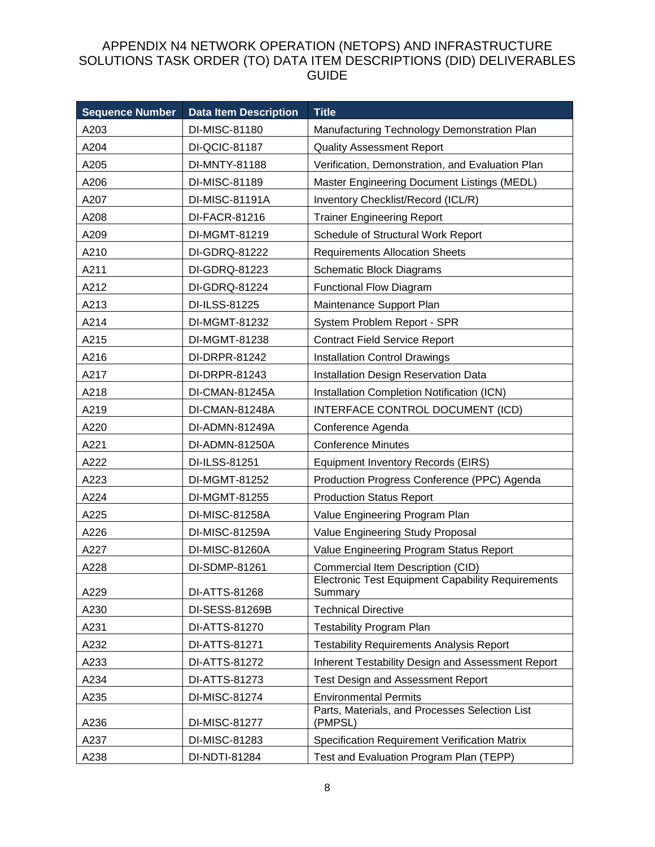| <b>Sequence Number</b> | <b>Data Item Description</b> | <b>Title</b>                                                        |
|------------------------|------------------------------|---------------------------------------------------------------------|
| A203                   | DI-MISC-81180                | Manufacturing Technology Demonstration Plan                         |
| A204                   | DI-QCIC-81187                | <b>Quality Assessment Report</b>                                    |
| A205                   | DI-MNTY-81188                | Verification, Demonstration, and Evaluation Plan                    |
| A206                   | DI-MISC-81189                | Master Engineering Document Listings (MEDL)                         |
| A207                   | DI-MISC-81191A               | Inventory Checklist/Record (ICL/R)                                  |
| A208                   | DI-FACR-81216                | <b>Trainer Engineering Report</b>                                   |
| A209                   | DI-MGMT-81219                | Schedule of Structural Work Report                                  |
| A210                   | DI-GDRQ-81222                | <b>Requirements Allocation Sheets</b>                               |
| A211                   | DI-GDRQ-81223                | <b>Schematic Block Diagrams</b>                                     |
| A212                   | DI-GDRQ-81224                | <b>Functional Flow Diagram</b>                                      |
| A213                   | DI-ILSS-81225                | Maintenance Support Plan                                            |
| A214                   | DI-MGMT-81232                | System Problem Report - SPR                                         |
| A215                   | DI-MGMT-81238                | <b>Contract Field Service Report</b>                                |
| A216                   | DI-DRPR-81242                | <b>Installation Control Drawings</b>                                |
| A217                   | DI-DRPR-81243                | Installation Design Reservation Data                                |
| A218                   | DI-CMAN-81245A               | Installation Completion Notification (ICN)                          |
| A219                   | DI-CMAN-81248A               | INTERFACE CONTROL DOCUMENT (ICD)                                    |
| A220                   | DI-ADMN-81249A               | Conference Agenda                                                   |
| A221                   | DI-ADMN-81250A               | <b>Conference Minutes</b>                                           |
| A222                   | DI-ILSS-81251                | Equipment Inventory Records (EIRS)                                  |
| A223                   | DI-MGMT-81252                | Production Progress Conference (PPC) Agenda                         |
| A224                   | DI-MGMT-81255                | <b>Production Status Report</b>                                     |
| A225                   | DI-MISC-81258A               | Value Engineering Program Plan                                      |
| A226                   | DI-MISC-81259A               | Value Engineering Study Proposal                                    |
| A227                   | DI-MISC-81260A               | Value Engineering Program Status Report                             |
| A228                   | DI-SDMP-81261                | Commercial Item Description (CID)                                   |
| A229                   | DI-ATTS-81268                | <b>Electronic Test Equipment Capability Requirements</b><br>Summary |
| A230                   | DI-SESS-81269B               | <b>Technical Directive</b>                                          |
| A231                   | DI-ATTS-81270                | <b>Testability Program Plan</b>                                     |
| A232                   | DI-ATTS-81271                | <b>Testability Requirements Analysis Report</b>                     |
| A233                   | DI-ATTS-81272                | Inherent Testability Design and Assessment Report                   |
| A234                   | DI-ATTS-81273                | <b>Test Design and Assessment Report</b>                            |
| A235                   | DI-MISC-81274                | <b>Environmental Permits</b>                                        |
| A236                   | DI-MISC-81277                | Parts, Materials, and Processes Selection List<br>(PMPSL)           |
| A237                   | DI-MISC-81283                | <b>Specification Requirement Verification Matrix</b>                |
| A238                   | DI-NDTI-81284                | Test and Evaluation Program Plan (TEPP)                             |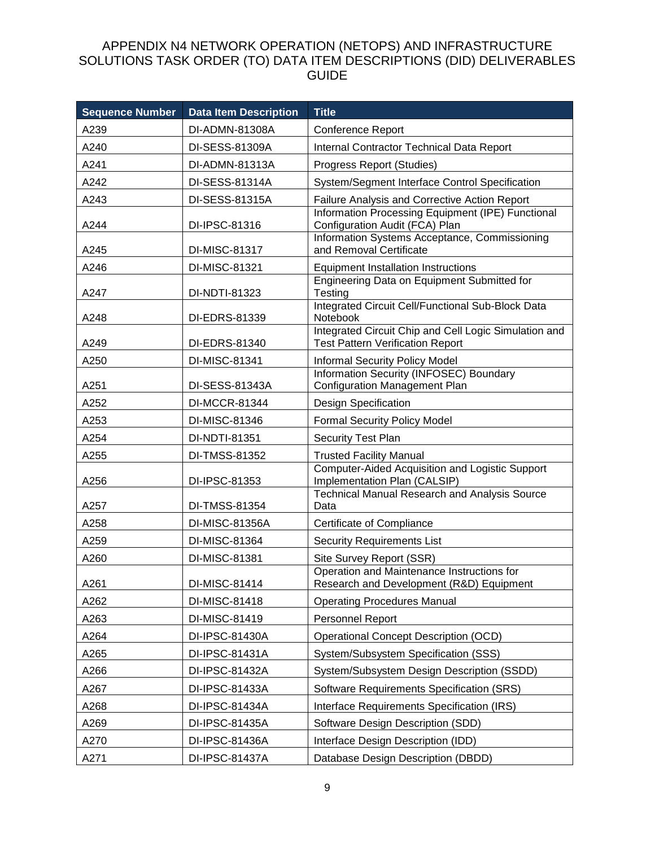| <b>Sequence Number</b> | <b>Data Item Description</b> | <b>Title</b>                                                                                     |
|------------------------|------------------------------|--------------------------------------------------------------------------------------------------|
| A239                   | DI-ADMN-81308A               | Conference Report                                                                                |
| A240                   | DI-SESS-81309A               | Internal Contractor Technical Data Report                                                        |
| A241                   | DI-ADMN-81313A               | Progress Report (Studies)                                                                        |
| A242                   | DI-SESS-81314A               | System/Segment Interface Control Specification                                                   |
| A243                   | DI-SESS-81315A               | Failure Analysis and Corrective Action Report                                                    |
| A244                   | DI-IPSC-81316                | Information Processing Equipment (IPE) Functional<br>Configuration Audit (FCA) Plan              |
| A245                   | DI-MISC-81317                | Information Systems Acceptance, Commissioning<br>and Removal Certificate                         |
| A246                   | DI-MISC-81321                | <b>Equipment Installation Instructions</b>                                                       |
| A247                   | DI-NDTI-81323                | Engineering Data on Equipment Submitted for<br>Testing                                           |
| A248                   | DI-EDRS-81339                | Integrated Circuit Cell/Functional Sub-Block Data<br>Notebook                                    |
| A249                   | DI-EDRS-81340                | Integrated Circuit Chip and Cell Logic Simulation and<br><b>Test Pattern Verification Report</b> |
| A250                   | DI-MISC-81341                | <b>Informal Security Policy Model</b>                                                            |
| A251                   | DI-SESS-81343A               | Information Security (INFOSEC) Boundary<br><b>Configuration Management Plan</b>                  |
| A252                   | DI-MCCR-81344                | Design Specification                                                                             |
| A253                   | DI-MISC-81346                | <b>Formal Security Policy Model</b>                                                              |
| A254                   | DI-NDTI-81351                | <b>Security Test Plan</b>                                                                        |
| A255                   | DI-TMSS-81352                | <b>Trusted Facility Manual</b>                                                                   |
| A256                   | DI-IPSC-81353                | <b>Computer-Aided Acquisition and Logistic Support</b><br>Implementation Plan (CALSIP)           |
| A257                   | DI-TMSS-81354                | <b>Technical Manual Research and Analysis Source</b><br>Data                                     |
| A258                   | DI-MISC-81356A               | Certificate of Compliance                                                                        |
| A259                   | DI-MISC-81364                | <b>Security Requirements List</b>                                                                |
| A260                   | DI-MISC-81381                | Site Survey Report (SSR)                                                                         |
| A261                   | DI-MISC-81414                | Operation and Maintenance Instructions for<br>Research and Development (R&D) Equipment           |
| A262                   | DI-MISC-81418                | <b>Operating Procedures Manual</b>                                                               |
| A263                   | DI-MISC-81419                | Personnel Report                                                                                 |
| A264                   | DI-IPSC-81430A               | <b>Operational Concept Description (OCD)</b>                                                     |
| A265                   | DI-IPSC-81431A               | System/Subsystem Specification (SSS)                                                             |
| A266                   | DI-IPSC-81432A               | System/Subsystem Design Description (SSDD)                                                       |
| A267                   | DI-IPSC-81433A               | Software Requirements Specification (SRS)                                                        |
| A268                   | DI-IPSC-81434A               | Interface Requirements Specification (IRS)                                                       |
| A269                   | DI-IPSC-81435A               | Software Design Description (SDD)                                                                |
| A270                   | DI-IPSC-81436A               | Interface Design Description (IDD)                                                               |
| A271                   | DI-IPSC-81437A               | Database Design Description (DBDD)                                                               |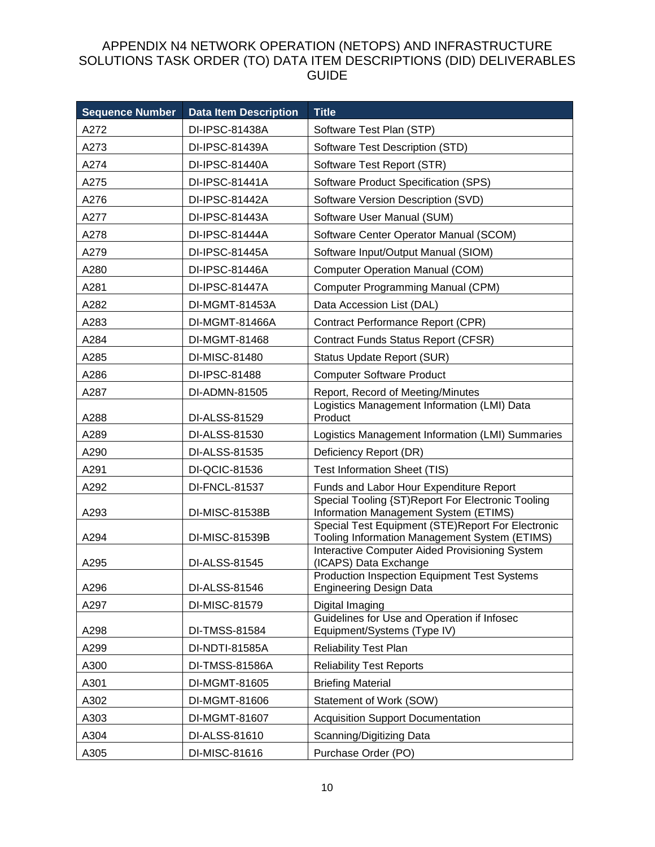| <b>Sequence Number</b> | <b>Data Item Description</b> | <b>Title</b>                                                                                       |
|------------------------|------------------------------|----------------------------------------------------------------------------------------------------|
| A272                   | DI-IPSC-81438A               | Software Test Plan (STP)                                                                           |
| A273                   | DI-IPSC-81439A               | Software Test Description (STD)                                                                    |
| A274                   | DI-IPSC-81440A               | Software Test Report (STR)                                                                         |
| A275                   | DI-IPSC-81441A               | Software Product Specification (SPS)                                                               |
| A276                   | DI-IPSC-81442A               | Software Version Description (SVD)                                                                 |
| A277                   | DI-IPSC-81443A               | Software User Manual (SUM)                                                                         |
| A278                   | DI-IPSC-81444A               | Software Center Operator Manual (SCOM)                                                             |
| A279                   | DI-IPSC-81445A               | Software Input/Output Manual (SIOM)                                                                |
| A280                   | DI-IPSC-81446A               | <b>Computer Operation Manual (COM)</b>                                                             |
| A281                   | DI-IPSC-81447A               | <b>Computer Programming Manual (CPM)</b>                                                           |
| A282                   | DI-MGMT-81453A               | Data Accession List (DAL)                                                                          |
| A283                   | DI-MGMT-81466A               | Contract Performance Report (CPR)                                                                  |
| A284                   | DI-MGMT-81468                | Contract Funds Status Report (CFSR)                                                                |
| A285                   | DI-MISC-81480                | Status Update Report (SUR)                                                                         |
| A286                   | DI-IPSC-81488                | <b>Computer Software Product</b>                                                                   |
| A287                   | DI-ADMN-81505                | Report, Record of Meeting/Minutes                                                                  |
| A288                   | DI-ALSS-81529                | Logistics Management Information (LMI) Data<br>Product                                             |
| A289                   | DI-ALSS-81530                | Logistics Management Information (LMI) Summaries                                                   |
| A290                   | DI-ALSS-81535                | Deficiency Report (DR)                                                                             |
| A291                   | DI-QCIC-81536                | <b>Test Information Sheet (TIS)</b>                                                                |
| A292                   | DI-FNCL-81537                | Funds and Labor Hour Expenditure Report                                                            |
| A293                   | DI-MISC-81538B               | Special Tooling {ST)Report For Electronic Tooling<br>Information Management System (ETIMS)         |
| A294                   | DI-MISC-81539B               | Special Test Equipment (STE)Report For Electronic<br>Tooling Information Management System (ETIMS) |
| A295                   | DI-ALSS-81545                | <b>Interactive Computer Aided Provisioning System</b><br>(ICAPS) Data Exchange                     |
| A296                   | DI-ALSS-81546                | <b>Production Inspection Equipment Test Systems</b><br><b>Engineering Design Data</b>              |
| A297                   | DI-MISC-81579                | Digital Imaging                                                                                    |
| A298                   | DI-TMSS-81584                | Guidelines for Use and Operation if Infosec<br>Equipment/Systems (Type IV)                         |
| A299                   | DI-NDTI-81585A               | <b>Reliability Test Plan</b>                                                                       |
| A300                   | DI-TMSS-81586A               | <b>Reliability Test Reports</b>                                                                    |
| A301                   | DI-MGMT-81605                | <b>Briefing Material</b>                                                                           |
| A302                   | DI-MGMT-81606                | Statement of Work (SOW)                                                                            |
| A303                   | DI-MGMT-81607                | <b>Acquisition Support Documentation</b>                                                           |
| A304                   | DI-ALSS-81610                | Scanning/Digitizing Data                                                                           |
| A305                   | DI-MISC-81616                | Purchase Order (PO)                                                                                |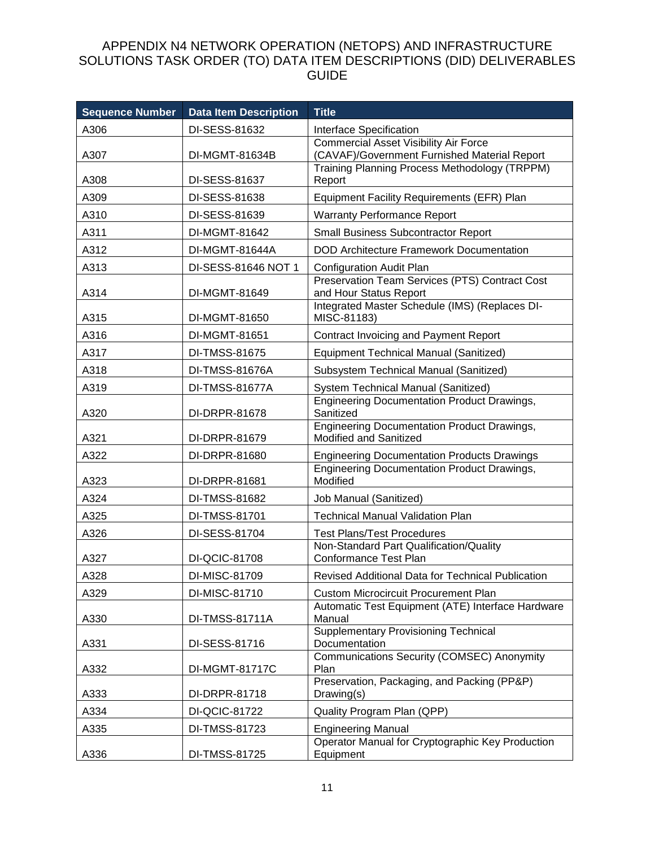| <b>Sequence Number</b> | <b>Data Item Description</b> | <b>Title</b>                                                                                 |
|------------------------|------------------------------|----------------------------------------------------------------------------------------------|
| A306                   | DI-SESS-81632                | Interface Specification                                                                      |
| A307                   | DI-MGMT-81634B               | <b>Commercial Asset Visibility Air Force</b><br>(CAVAF)/Government Furnished Material Report |
|                        |                              | Training Planning Process Methodology (TRPPM)                                                |
| A308                   | DI-SESS-81637                | Report                                                                                       |
| A309                   | DI-SESS-81638                | Equipment Facility Requirements (EFR) Plan                                                   |
| A310                   | DI-SESS-81639                | <b>Warranty Performance Report</b>                                                           |
| A311                   | DI-MGMT-81642                | <b>Small Business Subcontractor Report</b>                                                   |
| A312                   | DI-MGMT-81644A               | <b>DOD Architecture Framework Documentation</b>                                              |
| A313                   | DI-SESS-81646 NOT 1          | <b>Configuration Audit Plan</b>                                                              |
| A314                   | DI-MGMT-81649                | Preservation Team Services (PTS) Contract Cost<br>and Hour Status Report                     |
| A315                   | DI-MGMT-81650                | Integrated Master Schedule (IMS) (Replaces DI-<br>MISC-81183)                                |
| A316                   | DI-MGMT-81651                | Contract Invoicing and Payment Report                                                        |
| A317                   | DI-TMSS-81675                | <b>Equipment Technical Manual (Sanitized)</b>                                                |
| A318                   | DI-TMSS-81676A               | Subsystem Technical Manual (Sanitized)                                                       |
| A319                   | DI-TMSS-81677A               | System Technical Manual (Sanitized)                                                          |
| A320                   | DI-DRPR-81678                | <b>Engineering Documentation Product Drawings,</b><br>Sanitized                              |
| A321                   | DI-DRPR-81679                | <b>Engineering Documentation Product Drawings,</b><br>Modified and Sanitized                 |
| A322                   | DI-DRPR-81680                | <b>Engineering Documentation Products Drawings</b>                                           |
| A323                   | DI-DRPR-81681                | <b>Engineering Documentation Product Drawings,</b><br>Modified                               |
| A324                   | DI-TMSS-81682                | Job Manual (Sanitized)                                                                       |
| A325                   | DI-TMSS-81701                | <b>Technical Manual Validation Plan</b>                                                      |
| A326                   | DI-SESS-81704                | <b>Test Plans/Test Procedures</b>                                                            |
| A327                   | DI-QCIC-81708                | Non-Standard Part Qualification/Quality<br>Conformance Test Plan                             |
| A328                   | DI-MISC-81709                | Revised Additional Data for Technical Publication                                            |
| A329                   | DI-MISC-81710                | <b>Custom Microcircuit Procurement Plan</b>                                                  |
| A330                   | DI-TMSS-81711A               | Automatic Test Equipment (ATE) Interface Hardware<br>Manual                                  |
| A331                   | DI-SESS-81716                | <b>Supplementary Provisioning Technical</b><br>Documentation                                 |
| A332                   | <b>DI-MGMT-81717C</b>        | <b>Communications Security (COMSEC) Anonymity</b><br>Plan                                    |
| A333                   | DI-DRPR-81718                | Preservation, Packaging, and Packing (PP&P)<br>Drawing(s)                                    |
| A334                   | DI-QCIC-81722                | Quality Program Plan (QPP)                                                                   |
| A335                   | DI-TMSS-81723                | <b>Engineering Manual</b>                                                                    |
| A336                   | DI-TMSS-81725                | Operator Manual for Cryptographic Key Production<br>Equipment                                |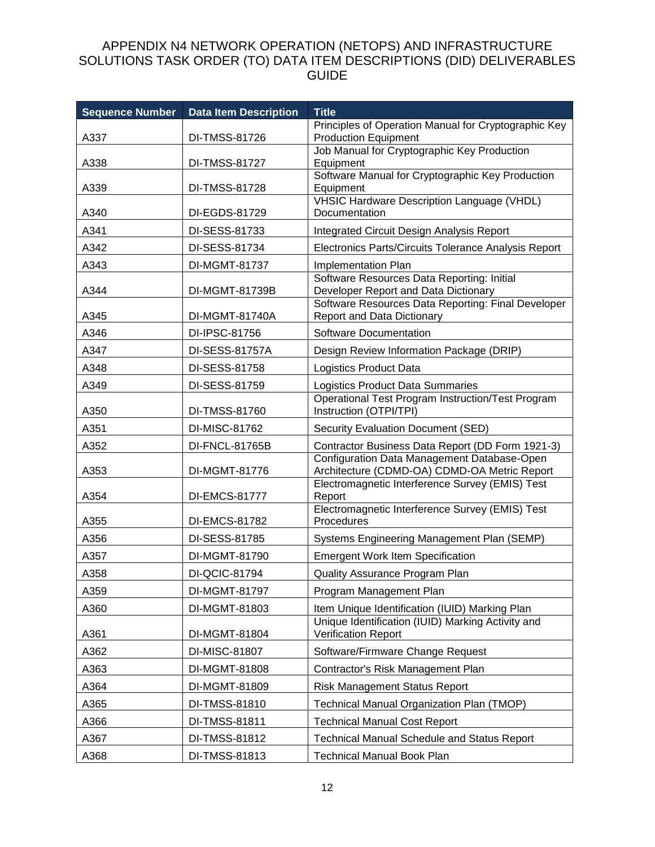| <b>Sequence Number</b> | <b>Data Item Description</b>   | <b>Title</b>                                                                                                                             |
|------------------------|--------------------------------|------------------------------------------------------------------------------------------------------------------------------------------|
| A337                   | DI-TMSS-81726                  | Principles of Operation Manual for Cryptographic Key<br><b>Production Equipment</b>                                                      |
|                        |                                | Job Manual for Cryptographic Key Production                                                                                              |
| A338                   | DI-TMSS-81727                  | Equipment                                                                                                                                |
| A339                   | DI-TMSS-81728                  | Software Manual for Cryptographic Key Production<br>Equipment                                                                            |
|                        |                                | <b>VHSIC Hardware Description Language (VHDL)</b>                                                                                        |
| A340                   | DI-EGDS-81729                  | Documentation                                                                                                                            |
| A341                   | DI-SESS-81733                  | <b>Integrated Circuit Design Analysis Report</b>                                                                                         |
| A342                   | DI-SESS-81734                  | Electronics Parts/Circuits Tolerance Analysis Report                                                                                     |
| A343                   | DI-MGMT-81737                  | Implementation Plan                                                                                                                      |
| A344                   | DI-MGMT-81739B                 | Software Resources Data Reporting: Initial<br>Developer Report and Data Dictionary<br>Software Resources Data Reporting: Final Developer |
| A345                   | <b>DI-MGMT-81740A</b>          | <b>Report and Data Dictionary</b>                                                                                                        |
| A346                   | DI-IPSC-81756                  | Software Documentation                                                                                                                   |
| A347                   | DI-SESS-81757A                 | Design Review Information Package (DRIP)                                                                                                 |
| A348                   | DI-SESS-81758                  | Logistics Product Data                                                                                                                   |
| A349                   | DI-SESS-81759                  | Logistics Product Data Summaries                                                                                                         |
|                        |                                | Operational Test Program Instruction/Test Program<br>Instruction (OTPI/TPI)                                                              |
| A350<br>A351           | DI-TMSS-81760<br>DI-MISC-81762 |                                                                                                                                          |
| A352                   | DI-FNCL-81765B                 | Security Evaluation Document (SED)                                                                                                       |
|                        |                                | Contractor Business Data Report (DD Form 1921-3)<br>Configuration Data Management Database-Open                                          |
| A353                   | DI-MGMT-81776                  | Architecture (CDMD-OA) CDMD-OA Metric Report                                                                                             |
| A354                   | DI-EMCS-81777                  | Electromagnetic Interference Survey (EMIS) Test<br>Report                                                                                |
| A355                   | DI-EMCS-81782                  | Electromagnetic Interference Survey (EMIS) Test<br>Procedures                                                                            |
| A356                   | DI-SESS-81785                  | Systems Engineering Management Plan (SEMP)                                                                                               |
| A357                   | DI-MGMT-81790                  | <b>Emergent Work Item Specification</b>                                                                                                  |
| A358                   | DI-QCIC-81794                  | Quality Assurance Program Plan                                                                                                           |
| A359                   | DI-MGMT-81797                  | Program Management Plan                                                                                                                  |
| A360                   | DI-MGMT-81803                  | Item Unique Identification (IUID) Marking Plan                                                                                           |
| A361                   | DI-MGMT-81804                  | Unique Identification (IUID) Marking Activity and<br>Verification Report                                                                 |
| A362                   | DI-MISC-81807                  | Software/Firmware Change Request                                                                                                         |
| A363                   | DI-MGMT-81808                  | Contractor's Risk Management Plan                                                                                                        |
| A364                   | DI-MGMT-81809                  | <b>Risk Management Status Report</b>                                                                                                     |
| A365                   | DI-TMSS-81810                  | Technical Manual Organization Plan (TMOP)                                                                                                |
| A366                   | DI-TMSS-81811                  | <b>Technical Manual Cost Report</b>                                                                                                      |
| A367                   | DI-TMSS-81812                  | <b>Technical Manual Schedule and Status Report</b>                                                                                       |
| A368                   | DI-TMSS-81813                  | <b>Technical Manual Book Plan</b>                                                                                                        |